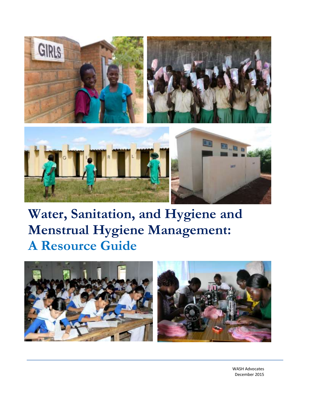

# **Water, Sanitation, and Hygiene and Menstrual Hygiene Management: A Resource Guide**



WASH Advocates December 2015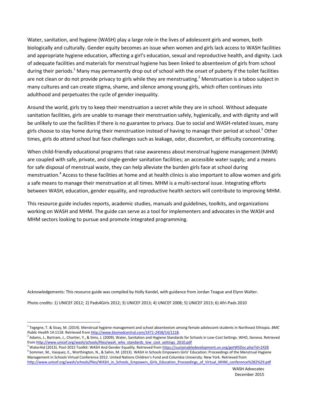Water, sanitation, and hygiene (WASH) play a large role in the lives of adolescent girls and women, both biologically and culturally. Gender equity becomes an issue when women and girls lack access to WASH facilities and appropriate hygiene education, affecting a girl's education, sexual and reproductive health, and dignity. Lack of adequate facilities and materials for menstrual hygiene has been linked to absenteeism of girls from school during their periods.<sup>1</sup> Many may permanently drop out of school with the onset of puberty if the toilet facilities are not clean or do not provide privacy to girls while they are menstruating.<sup>2</sup> Menstruation is a taboo subject in many cultures and can create stigma, shame, and silence among young girls, which often continues into adulthood and perpetuates the cycle of gender inequality.

Around the world, girls try to keep their menstruation a secret while they are in school. Without adequate sanitation facilities, girls are unable to manage their menstruation safely, hygienically, and with dignity and will be unlikely to use the facilities if there is no guarantee to privacy. Due to social and WASH-related issues, many girls choose to stay home during their menstruation instead of having to manage their period at school.<sup>3</sup> Other times, girls do attend school but face challenges such as leakage, odor, discomfort, or difficulty concentrating.

When child-friendly educational programs that raise awareness about menstrual hygiene management (MHM) are coupled with safe, private, and single-gender sanitation facilities; an accessible water supply; and a means for safe disposal of menstrual waste, they can help alleviate the burden girls face at school during menstruation.<sup>4</sup> Access to these facilities at home and at health clinics is also important to allow women and girls a safe means to manage their menstruation at all times. MHM is a multi-sectoral issue. Integrating efforts between WASH, education, gender equality, and reproductive health sectors will contribute to improving MHM.

This resource guide includes reports, academic studies, manuals and guidelines, toolkits, and organizations working on WASH and MHM. The guide can serve as a tool for implementers and advocates in the WASH and MHM sectors looking to pursue and promote integrated programming.

Acknowledgements: This resource guide was compiled by Holly Kandel, with guidance from Jordan Teague and Elynn Walter.

Photo credits: 1) UNICEF 2012; 2) Pads4Girls 2012; 3) UNICEF 2013; 4) UNICEF 2008; 5) UNICEF 2013; 6) Afri-Pads 2010

 $\overline{\phantom{a}}$ 

<sup>1</sup> Tegegne, T. & Sisay, M. (2014). Menstrual hygiene management and school absenteeism among female adolescent students in Northeast Ethiopia. *BMC Public Health* 14:1118. Retrieved fro[m http://www.biomedcentral.com/1471-2458/14/1118.](http://www.biomedcentral.com/1471-2458/14/1118)

<sup>2</sup> Adams, J., Bartram, J., Chartier, Y., & Sims, J. (2009). Water, Sanitation and Hygiene Standards for Schools in Low-Cost Settings. WHO, Geneva. Retrieved fro[m http://www.unicef.org/wash/schools/files/wash\\_who\\_standards\\_low\\_cost\\_settings\\_2010.pdf](http://www.unicef.org/wash/schools/files/wash_who_standards_low_cost_settings_2010.pdf)

<sup>&</sup>lt;sup>3</sup> WaterAid (2013). Post-2015 Toolkit: WASH And Gender Equality. Retrieved from <u><https://sustainabledevelopment.un.org/getWSDoc.php?id=2428></u> 4 Sommer, M., Vasquez, E., Worthington, N., & Sahin, M. (2013). WASH in Schools Empowers Girls' Education: Proceedings of the Menstrual Hygiene Management in Schools Virtual Conference 2012. United Nations Children's Fund and Columbia University. New York. Retrieved from [http://www.unicef.org/wash/schools/files/WASH\\_in\\_Schools\\_Empowers\\_Girls\\_Education\\_Proceedings\\_of\\_Virtual\\_MHM\\_conference%282%29.pdf](http://www.unicef.org/wash/schools/files/WASH_in_Schools_Empowers_Girls_Education_Proceedings_of_Virtual_MHM_conference%282%29.pdf)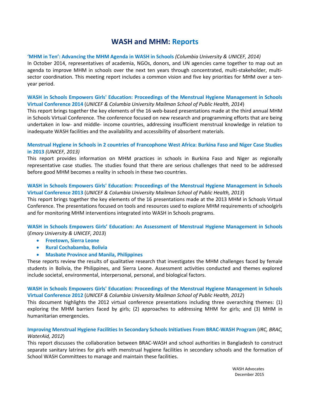# **WASH and MHM: Reports**

# **['MHM in Ten': Advancing the MHM Agenda in WASH in Schools](http://www.unicef.org/wash/schools/files/MHM_in_Ten_2014_Meeting_Report.pdf)** *(Columbia University & UNICEF, 2014)*

In October 2014, representatives of academia, NGOs, donors, and UN agencies came together to map out an agenda to improve MHM in schools over the next ten years through concentrated, multi-stakeholder, multisector coordination. This meeting report includes a common vision and five key priorities for MHM over a tenyear period.

# **[WASH in Schools Empowers Girls' Education: Proceedings of the Menstrual Hygiene Management in Schools](http://www.unicef.org/wash/schools/files/MHM_vConf_2014.pdf)  [Virtual Conference 2014](http://www.unicef.org/wash/schools/files/MHM_vConf_2014.pdf)** (*UNICEF & Columbia University Mailman School of Public Health, 2014*)

This report brings together the key elements of the 16 web-based presentations made at the third annual MHM in Schools Virtual Conference. The conference focused on new research and programming efforts that are being undertaken in low- and middle- income countries, addressing insufficient menstrual knowledge in relation to inadequate WASH facilities and the availability and accessibility of absorbent materials.

# **[Menstrual Hygiene in Schools in 2 countries of Francophone West Africa: Burkina Faso and Niger Case Studies](http://www.unicef.org/wash/schools/files/MHM_study_report_Burkina_Faso_and_Niger_English_Final.pdf)  [in 2013](http://www.unicef.org/wash/schools/files/MHM_study_report_Burkina_Faso_and_Niger_English_Final.pdf)** *(UNICEF, 2013)*

This report provides information on MHM practices in schools in Burkina Faso and Niger as regionally representative case studies. The studies found that there are serious challenges that need to be addressed before good MHM becomes a reality in schools in these two countries.

# **[WASH in Schools Empowers Girls' Education: Proceedings of the Menstrual Hygiene Management in Schools](http://www.unicef.org/wash/schools/files/MHM_Booklet_Final_HR(1).pdf)  [Virtual Conference 2013](http://www.unicef.org/wash/schools/files/MHM_Booklet_Final_HR(1).pdf)** (*UNICEF & Columbia University Mailman School of Public Health, 2013*)

This report brings together the key elements of the 16 presentations made at the 2013 MHM in Schools Virtual Conference. The presentations focused on tools and resources used to explore MHM requirements of schoolgirls and for monitoring MHM interventions integrated into WASH in Schools programs.

# **WASH in Schools Empowers Girls' Education: An Assessment of Menstrual Hygiene Management in Schools** (*Emory University & UNICEF, 2013*)

- **[Freetown, Sierra Leone](http://www.unicef.org/wash/schools/files/Sierra_Leone_MHM_Booklet_DM_15_Nov_1020_single-Sierra_Leone.pdf)**
- **[Rural Cochabamba, Bolivia](http://www.unicef.org/wash/schools/files/Bolivia_MHM_Booklet_DM_15_Nov_single_0940_Bolivia.pdf)**
- **[Masbate Province and Manila, Philippines](http://www.unicef.org/wash/schools/files/Philippines_MHM_Booklet_DM_15__Nov_1010_Single-_Philippines.pdf)**

These reports review the results of qualitative research that investigates the MHM challenges faced by female students in Bolivia, the Philippines, and Sierra Leone. Assessment activities conducted and themes explored include societal, environmental, interpersonal, personal, and biological factors.

# **[WASH in Schools Empowers Girls' Education: Proceedings of the Menstrual Hygiene Management in Schools](http://www.unicef.org/wash/schools/files/WASH_in_Schools_Empowers_Girls_Education_Proceedings_of_Virtual_MHM_conference.pdf)  [Virtual Conference 2012](http://www.unicef.org/wash/schools/files/WASH_in_Schools_Empowers_Girls_Education_Proceedings_of_Virtual_MHM_conference.pdf)** (*UNICEF & Columbia University Mailman School of Public Health, 2012*)

This document highlights the 2012 virtual conference presentations including three overarching themes: (1) exploring the MHM barriers faced by girls; (2) approaches to addressing MHM for girls; and (3) MHM in humanitarian emergencies.

# **[Improving Menstrual Hygiene Facilities In Secondary Schools Initiatives](http://www.ircwash.org/resources/improving-menstrual-hygiene-facilities-secondary-schools-initiatives-brac-wash-program) From BRAC-WASH Program** (*IRC, BRAC, WaterAid, 2012*)

This report discusses the collaboration between BRAC-WASH and school authorities in Bangladesh to construct separate sanitary latrines for girls with menstrual hygiene facilities in secondary schools and the formation of School WASH Committees to manage and maintain these facilities.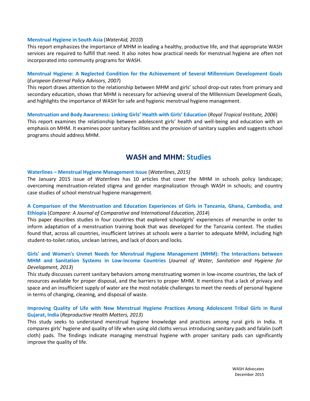#### **[Menstrual Hygiene in South Asia](http://www.wateraid.org/documents/plugin_documents/menstrual_hygiene_in_south_asia_1.pdf)** (*WaterAid, 2010*)

This report emphasizes the importance of MHM in leading a healthy, productive life, and that appropriate WASH services are required to fulfill that need. It also notes how practical needs for menstrual hygiene are often not incorporated into community programs for WASH.

# **[Menstrual Hygiene: A Neglected Condition for the Achievement of Several Millennium Development Goals](http://www.eepa.be/wcm/dmdocuments/BGpaper_Menstrual-Hygiene.pdf)** (*European External Policy Advisors, 2007*)

This report draws attention to the relationship between MHM and girls' school drop-out rates from primary and secondary education, shows that MHM is necessary for achieving several of the Millennium Development Goals, and highlights the importance of WASH for safe and hygienic menstrual hygiene management.

# **[Menstruation and Body Awareness: Linking Girls' Health with Girls' Education](http://www.susana.org/en/resources/library/details/1200)** (*Royal Tropical Institute, 2006*) This report examines the relationship between adolescent girls' health and well-being and education with an emphasis on MHM. It examines poor sanitary facilities and the provision of sanitary supplies and suggests school programs should address MHM.

# **WASH and MHM: Studies**

#### **Waterlines – [Menstrual Hygiene Management Issue](http://practicalaction.metapress.com/content/m7v077580276/?p=585eca08798e420da7220d2ecbc918ff&pi=0)** (*Waterlines*, *2015)*

The January 2015 issue of *Waterlines* has 10 articles that cover the MHM in schools policy landscape; overcoming menstruation-related stigma and gender marginalization through WASH in schools; and country case studies of school menstrual hygiene management.

# **[A Comparison of the Menstruation and Education Experiences of Girls in Tanzania, Ghana, Cambodia, and](http://www.tandfonline.com/doi/abs/10.1080/03057925.2013.871399#.VPyg-FPF_iM)  [Ethiopia](http://www.tandfonline.com/doi/abs/10.1080/03057925.2013.871399#.VPyg-FPF_iM)** (*Compare: A Journal of Comparative and International Education, 2014*)

This paper describes studies in four countries that explored schoolgirls' experiences of menarche in order to inform adaptation of a menstruation training book that was developed for the Tanzania context. The studies found that, across all countries, insufficient latrines at schools were a barrier to adequate MHM, including high student-to-toilet ratios, unclean latrines, and lack of doors and locks.

# **[Girls' and Women's Unmet Needs for Menstrual Hygiene Management \(MHM\): The Interactions between](http://www.iwaponline.com/washdev/up/washdev2013101.htm)  [MHM and Sanitation Systems in Low-Income Countries](http://www.iwaponline.com/washdev/up/washdev2013101.htm)** (*Journal of Water, Sanitation and Hygiene for Development, 2013*)

This study discusses current sanitary behaviors among menstruating women in low-income countries, the lack of resources available for proper disposal, and the barriers to proper MHM. It mentions that a lack of privacy and space and an insufficient supply of water are the most notable challenges to meet the needs of personal hygiene in terms of changing, cleaning, and disposal of waste.

# **[Improving Quality of Life with New Menstrual Hygiene Practices Among Adolescent Tribal Girls in Rural](http://www.rhm-elsevier.com/article/S0968-8080(13)41691-9/abstract)  [Gujarat, India](http://www.rhm-elsevier.com/article/S0968-8080(13)41691-9/abstract)** (*Reproductive Health Matters, 2013*)

This study seeks to understand menstrual hygiene knowledge and practices among rural girls in India. It compares girls' hygiene and quality of life when using old cloths versus introducing sanitary pads and falalin (soft cloth) pads. The findings indicate managing menstrual hygiene with proper sanitary pads can significantly improve the quality of life.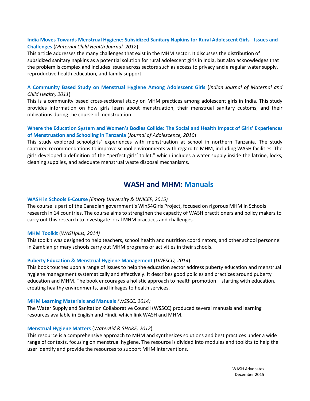# **[India Moves Towards Menstrual Hygiene: Subsidized Sanitary Napkins for Rural Adolescent Girls](http://www.ncbi.nlm.nih.gov/pubmed/21505773) - Issues and [Challenges](http://www.ncbi.nlm.nih.gov/pubmed/21505773)** (*Maternal Child Health Journal, 2012*)

This article addresses the many challenges that exist in the MHM sector. It discusses the distribution of subsidized sanitary napkins as a potential solution for rural adolescent girls in India, but also acknowledges that the problem is complex and includes issues across sectors such as access to privacy and a regular water supply, reproductive health education, and family support.

# **[A Community Based Study on Menstrual Hygiene Among](http://www.wsscc.org/sites/default/files/publications/ijmch_communitybasedstudymenstrualhygieneadolescentgirls_2011pdf.pdf) Adolescent Girls** (*Indian Journal of Maternal and Child Health, 2011*)

This is a community based cross-sectional study on MHM practices among adolescent girls in India. This study provides information on how girls learn about menstruation, their menstrual sanitary customs, and their obligations during the course of menstruation.

# **[Where the Education System and Women's Bodies Collide: The Social and Health Impact of Girls' Ex](http://www.sciencedirect.com/science/article/pii/S0140197109000347)periences [of Menstruation and Schooling in Tanzania](http://www.sciencedirect.com/science/article/pii/S0140197109000347)** (*Journal of Adolescence, 2010*)

This study explored schoolgirls' experiences with menstruation at school in northern Tanzania. The study captured recommendations to improve school environments with regard to MHM, including WASH facilities. The girls developed a definition of the "perfect girls' toilet," which includes a water supply inside the latrine, locks, cleaning supplies, and adequate menstrual waste disposal mechanisms.

# **WASH and MHM: Manuals**

# **[WASH in Schools E-Course](http://www.unicef.org/wash/schools/files/WinS4Girls-_Distance_Learning_Coursebook-Web_Version.pdf)** *(Emory University & UNICEF, 2015)*

The course is part of the Canadian government's WinS4Girls Project, focused on rigorous MHM in Schools research in 14 countries. The course aims to strengthen the capacity of WASH practitioners and policy makers to carry out this research to investigate local MHM practices and challenges.

# **[MHM Toolkit](http://www.washplus.org/sites/default/files/mhm-mini_toolbox2014.pdf)** (*WASHplus, 2014)*

This toolkit was designed to help teachers, school health and nutrition coordinators, and other school personnel in Zambian primary schools carry out MHM programs or activities in their schools.

# **[Puberty Education & Menstrual Hygiene Management](http://unesdoc.unesco.org/images/0022/002267/226792e.pdf)** (*UNESCO, 2014*)

This book touches upon a range of issues to help the education sector address puberty education and menstrual hygiene management systematically and effectively. It describes good policies and practices around puberty education and MHM. The book encourages a holistic approach to health promotion – starting with education, creating healthy environments, and linkages to health services.

# **[MHM Learning Materials and Manuals](http://www.wsscc.org/e-learning-centre/learning-materials-manuals)** *(WSSCC, 2014)*

The Water Supply and Sanitation Collaborative Council (WSSCC) produced several manuals and learning resources available in English and Hindi, which link WASH and MHM.

# **[Menstrual Hygiene Matters](http://www.wateraid.org/~/media/Files/Global/MHM%20files/Compiled_LR.pdf)** (*WaterAid & SHARE, 2012*)

This resource is a comprehensive approach to MHM and synthesizes solutions and best practices under a wide range of contexts, focusing on menstrual hygiene. The resource is divided into modules and toolkits to help the user identify and provide the resources to support MHM interventions.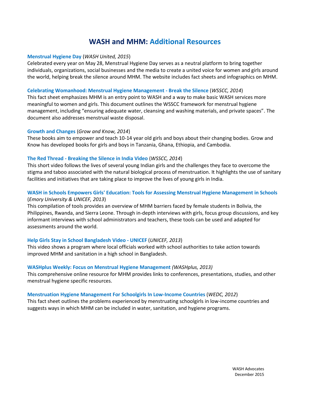# **WASH and MHM: Additional Resources**

#### **[Menstrual Hygiene Day](http://menstrualhygieneday.org/)** (*WASH United, 2015*)

Celebrated every year on May 28, Menstrual Hygiene Day serves as a neutral platform to bring together individuals, organizations, social businesses and the media to create a united voice for women and girls around the world, helping break the silence around MHM. The website includes fact sheets and infographics on MHM.

#### **[Celebrating Womanhood: Menstrual Hygiene Management -](http://www.wsscc.org/sites/default/files/wsscc_mhm_handout_4pp_2.pdf_final_23082013.pdf) Break the Silence** (*WSSCC, 2014*)

This fact sheet emphasizes MHM is an entry point to WASH and a way to make basic WASH services more meaningful to women and girls. This document outlines the WSSCC framework for menstrual hygiene management, including "ensuring adequate water, cleansing and washing materials, and private spaces". The document also addresses menstrual waste disposal.

#### **[Growth and Changes](http://www.growandknow.org/books.html)** (*Grow and Know, 2014*)

These books aim to empower and teach 10-14 year old girls and boys about their changing bodies. Grow and Know has developed books for girls and boys in Tanzania, Ghana, Ethiopia, and Cambodia.

# **The Red Thread - [Breaking the Silence in India Video](https://www.youtube.com/watch?v=wrrlL5jjgU0)** (*WSSCC, 2014*)

This short video follows the lives of several young Indian girls and the challenges they face to overcome the stigma and taboo associated with the natural biological process of menstruation. It highlights the use of sanitary facilities and initiatives that are taking place to improve the lives of young girls in India.

# **[WASH in Schools Empowers Girls' Education: Tools for Assessing Menstrual Hygiene Management in Schools](http://www.unicef.org/wash/schools/files/WinS_Empowers_Girls_Education_Tools_For_MHM_Booklet.pdf)** (*Emory University & UNICEF, 2013*)

This compilation of tools provides an overview of MHM barriers faced by female students in Bolivia, the Philippines, Rwanda, and Sierra Leone. Through in-depth interviews with girls, focus group discussions, and key informant interviews with school administrators and teachers, these tools can be used and adapted for assessments around the world.

# **[Help Girls Stay in School Bangladesh Video -](https://www.youtube.com/watch?feature=player_embedded&v=9LsQbUav6mc) UNICEF** (*UNICEF, 2013*)

This video shows a program where local officials worked with school authorities to take action towards improved MHM and sanitation in a high school in Bangladesh.

#### **[WASHplus Weekly: Focus on Menstrual Hygiene Management](http://us2.campaign-archive1.com/?u=ed50820bda89f8241498bf4db&id=bff0c1487b&e=575186b44d)** *(WASHplus, 2013)*

This comprehensive online resource for MHM provides links to conferences, presentations, studies, and other menstrual hygiene specific resources.

#### **[Menstruation Hygiene Management For Schoolgirls In Low-Income Countries](http://wedc.lboro.ac.uk/resources/factsheets/FS007_MHM_A4_Pages.pdf)** (*WEDC, 2012*)

This fact sheet outlines the problems experienced by menstruating schoolgirls in low-income countries and suggests ways in which MHM can be included in water, sanitation, and hygiene programs.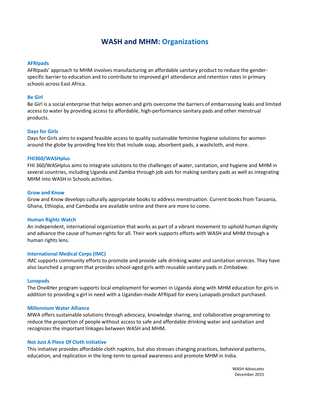# **WASH and MHM: Organizations**

#### **[AFRIpads](http://www.afripads.com/)**

AFRIpads' approach to MHM involves manufacturing an affordable sanitary product to reduce the genderspecific barrier to education and to contribute to improved girl attendance and retention rates in primary schools across East Africa.

#### **[Be Girl](http://www.begirl.org/)**

Be Girl is a social enterprise that helps women and girls overcome the barriers of embarrassing leaks and limited access to water by providing access to affordable, high-performance sanitary pads and other menstrual products.

#### **[Days for Girls](http://www.daysforgirls.org/)**

Days for Girls aims to expand feasible access to quality sustainable feminine hygiene solutions for women around the globe by providing free kits that include soap, absorbent pads, a washcloth, and more.

#### **[FHI360/WASHplus](http://www.washplus.org/countries/zambia)**

FHI 360/WASHplus aims to integrate solutions to the challenges of water, sanitation, and hygiene and MHM in several countries, including Uganda and Zambia through job aids for making sanitary pads as well as integrating MHM into WASH in Schools activities.

#### **[Grow and Know](http://www.growandknow.org/)**

Grow and Know develops culturally appropriate books to address menstruation. Current books from Tanzania, Ghana, Ethiopia, and Cambodia are available online and there are more to come.

#### **[Human Rights Watch](http://www.hrw.org/)**

An independent, international organization that works as part of a vibrant movement to uphold human dignity and advance the cause of human rights for all. Their work supports efforts with WASH and MHM through a human rights lens.

#### **[International Medical Corps](https://internationalmedicalcorps.org/sslpage.aspx?pid=1853) (IMC)**

IMC supports community efforts to promote and provide safe drinking water and sanitation services. They have also launched a program that provides school-aged girls with reusable sanitary pads in Zimbabwe.

#### **[Lunapads](http://www.lunapads.com/)**

The One4Her program supports local employment for women in Uganda along with MHM education for girls in addition to providing a girl in need with a Ugandan-made AFRIpad for every Lunapads product purchased.

#### **[Millennium Water Alliance](http://www.mwawater.org.php53-6.dfw1-2.websitetestlink.com/)**

MWA offers sustainable solutions through advocacy, knowledge sharing, and collaborative programming to reduce the proportion of people without access to safe and affordable drinking water and sanitation and recognizes the important linkages between WASH and MHM.

#### **[Not Just A Piece Of Cloth Initiative](http://njpc.goonj.org/)**

This initiative provides affordable cloth napkins, but also stresses changing practices, behavioral patterns, education, and replication in the long-term to spread awareness and promote MHM in India.